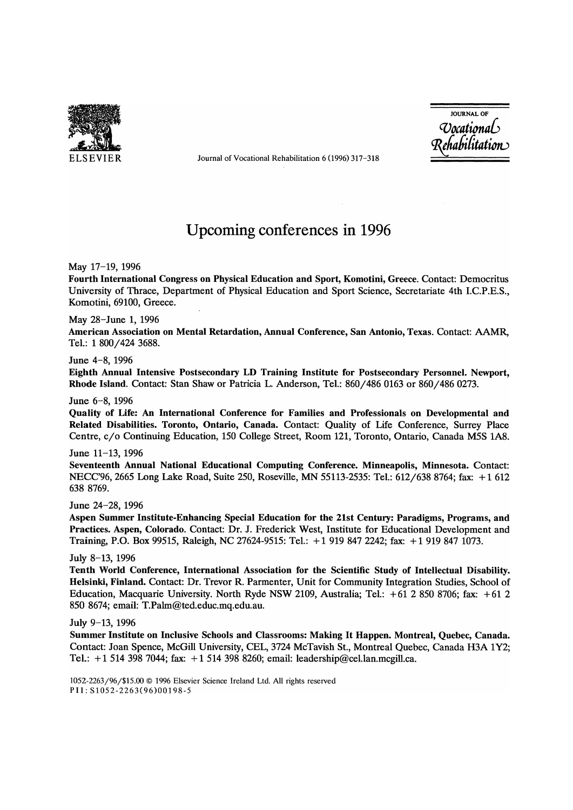

ELSEVIER Journal of Vocational Rehabilitation 6 (1996) 317-318

JOURNAL OF *CVocatiomlb 'R{tabifitatiotv* 

# Upcoming conferences in 1996

May 17-19, 1996

Fourth International Congress on Physical Education and Sport, Komotini, Greece. Contact: Democritus University of Thrace, Department of Physical Education and Sport Science, Secretariate 4th I.c.P.E.S., Komotini, 69100, Greece.

May 28-June 1, 1996

American Association on Mental Retardation, Annual Conference, San Antonio, Texas. Contact: AAMR, Tel.: 1 800/424 3688.

#### June 4-8, 1996

Eighth Annual Intensive Postsecondary LD Training Institute for Postsecondary Personnel. Newport, Rhode Island. Contact: Stan Shaw or Patricia L. Anderson, Tel.: 860/486 0163 or 860/486 0273.

June 6-8, 1996

Quality of Life: An International Conference for Families and Professionals on Developmental and Related Disabilities. Toronto, Ontario, Canada. Contact: Quality of Life Conference, Surrey Place Centre, c/o Continuing Education, 150 College Street, Room 121, Toronto, Ontario, Canada M5S 1A8.

## June 11-13, 1996

Seventeenth Annual National Educational Computing Conference. Minneapolis, Minnesota. Contact: NECC'96, 2665 Long Lake Road, Suite 250, Roseville, MN 55113-2535: Tel.: 612/638 8764; fax: + 1 612 6388769.

June 24-28, 1996

Aspen Summer Institute-Enhancing Special Education for the 21st Century: Paradigms, Programs, and Practices. Aspen, Colorado. Contact: Dr. J. Frederick West, Institute for Educational Development and Training, P.O. Box 99515, Raleigh, NC 27624-9515: Tel.: + 1 919 847 2242; fax: + 1 919 847 1073.

## July 8-13, 1996

Tenth World Conference, International Association for the Scientific Study of Intellectual Disability. Helsinki, Finland. Contact: Dr. Trevor R. Parmenter, Unit for Community Integration Studies, School of Education, Macquarie University. North Ryde NSW 2109, Australia; Tel.:  $+61$  2 850 8706; fax:  $+61$  2 850 8674; email: T.Palm@ted.educ.mq.edu.au.

July 9-13, 1996

Summer Institute on Inclusive Schools and Classrooms: Making It Happen. Montreal, Quebec, Canada. Contact: Joan Spence, McGill University, CEL, 3724 McTavish St., Montreal Quebec, Canada H3A 1Y2; Tel.: + 1 514 398 7044; fax: + 1 514 398 8260; email: leadership@cel.lan.mcgill.ca.

1052-2263/96/\$15.00 © 1996 Elsevier Science Ireland Ltd. All rights reserved PII:S1052-2263(96)00198-5